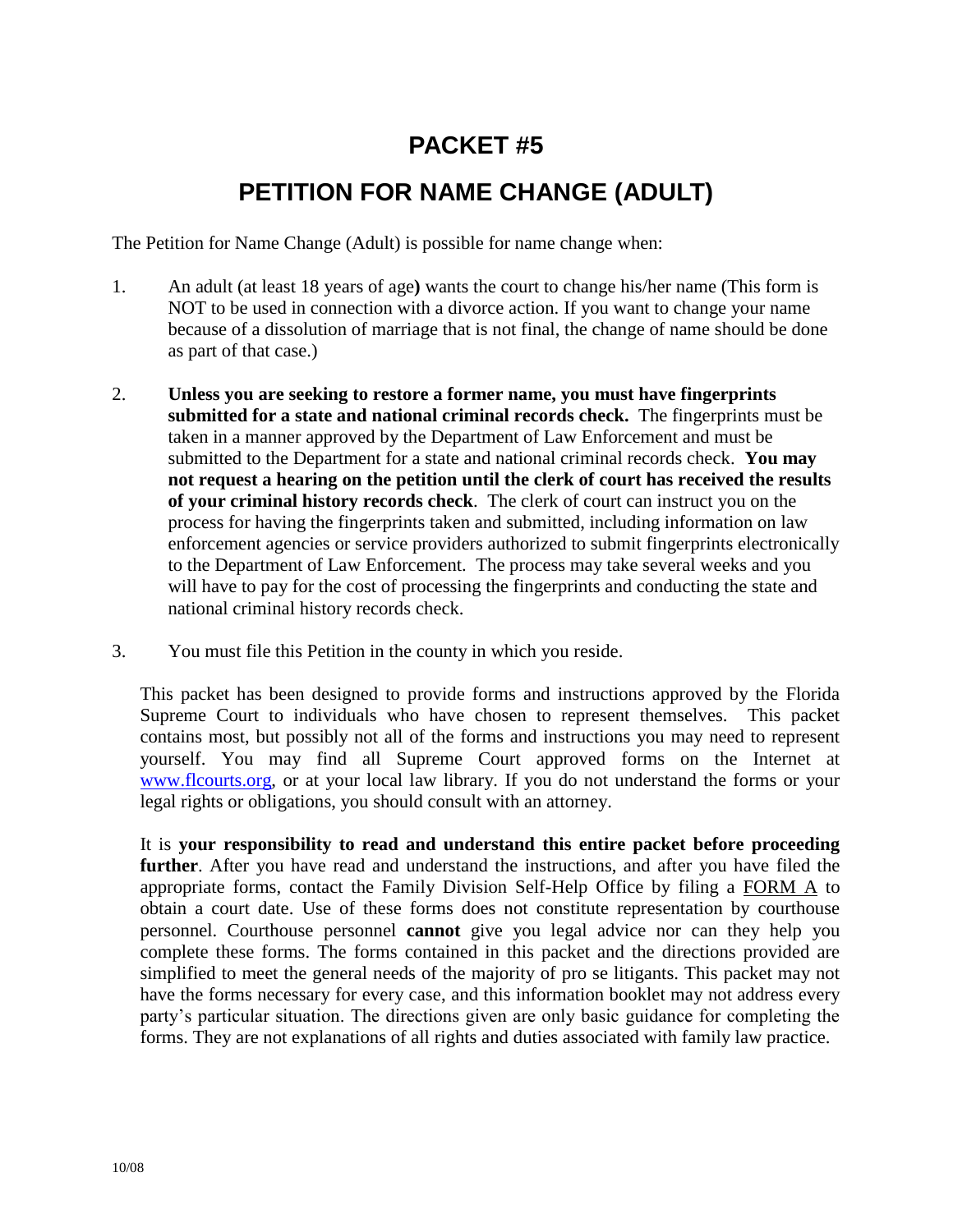# **PACKET #5**

## **PETITION FOR NAME CHANGE (ADULT)**

The Petition for Name Change (Adult) is possible for name change when:

- 1. An adult (at least 18 years of age**)** wants the court to change his/her name (This form is NOT to be used in connection with a divorce action. If you want to change your name because of a dissolution of marriage that is not final, the change of name should be done as part of that case.)
- 2. **Unless you are seeking to restore a former name, you must have fingerprints submitted for a state and national criminal records check.** The fingerprints must be taken in a manner approved by the Department of Law Enforcement and must be submitted to the Department for a state and national criminal records check. **You may not request a hearing on the petition until the clerk of court has received the results of your criminal history records check**. The clerk of court can instruct you on the process for having the fingerprints taken and submitted, including information on law enforcement agencies or service providers authorized to submit fingerprints electronically to the Department of Law Enforcement. The process may take several weeks and you will have to pay for the cost of processing the fingerprints and conducting the state and national criminal history records check.
- 3. You must file this Petition in the county in which you reside.

This packet has been designed to provide forms and instructions approved by the Florida Supreme Court to individuals who have chosen to represent themselves. This packet contains most, but possibly not all of the forms and instructions you may need to represent yourself. You may find all Supreme Court approved forms on the Internet at [www.flcourts.org,](http://www.flcourts.org/) or at your local law library. If you do not understand the forms or your legal rights or obligations, you should consult with an attorney.

It is **your responsibility to read and understand this entire packet before proceeding further**. After you have read and understand the instructions, and after you have filed the appropriate forms, contact the Family Division Self-Help Office by filing a FORM A to obtain a court date. Use of these forms does not constitute representation by courthouse personnel. Courthouse personnel **cannot** give you legal advice nor can they help you complete these forms. The forms contained in this packet and the directions provided are simplified to meet the general needs of the majority of pro se litigants. This packet may not have the forms necessary for every case, and this information booklet may not address every party's particular situation. The directions given are only basic guidance for completing the forms. They are not explanations of all rights and duties associated with family law practice.